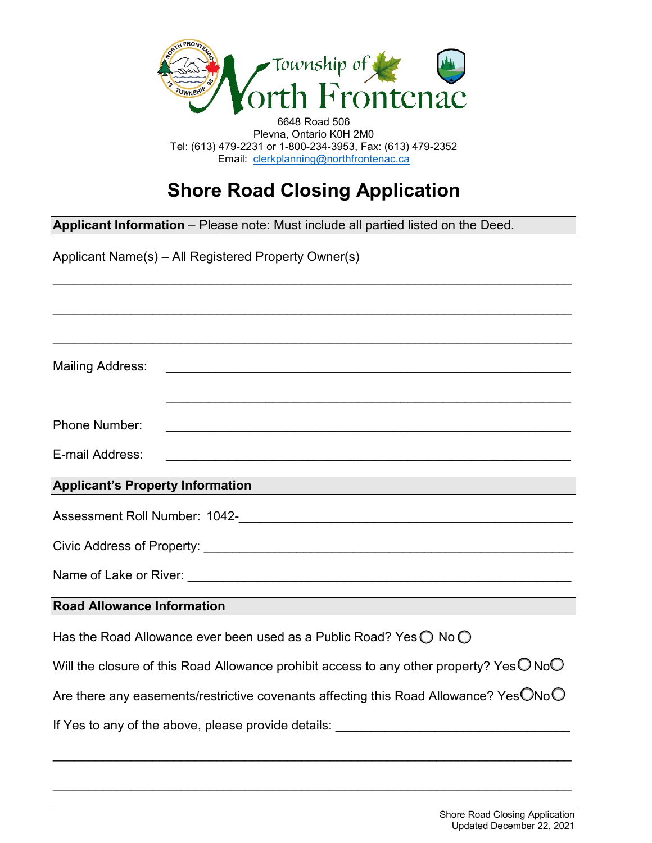

6648 Road 506 Plevna, Ontario K0H 2M0 Tel: (613) 479-2231 or 1-800-234-3953, Fax: (613) 479-2352 Email: [clerkplanning@northfrontenac.ca](mailto:clerkplanning@northfrontenac.ca) 

## **Shore Road Closing Application**

\_\_\_\_\_\_\_\_\_\_\_\_\_\_\_\_\_\_\_\_\_\_\_\_\_\_\_\_\_\_\_\_\_\_\_\_\_\_\_\_\_\_\_\_\_\_\_\_\_\_\_\_\_\_\_\_\_\_\_\_\_\_\_\_\_\_\_\_\_\_\_\_\_

\_\_\_\_\_\_\_\_\_\_\_\_\_\_\_\_\_\_\_\_\_\_\_\_\_\_\_\_\_\_\_\_\_\_\_\_\_\_\_\_\_\_\_\_\_\_\_\_\_\_\_\_\_\_\_\_\_\_\_\_\_\_\_\_\_\_\_\_\_\_\_\_\_

**Applicant Information** – Please note: Must include all partied listed on the Deed.

| <b>Mailing Address:</b>                                                                                     |                                                                                      |  |  |
|-------------------------------------------------------------------------------------------------------------|--------------------------------------------------------------------------------------|--|--|
| <b>Phone Number:</b>                                                                                        |                                                                                      |  |  |
| E-mail Address:                                                                                             |                                                                                      |  |  |
|                                                                                                             | Applicant's Property Information<br>Applicant's Property Information                 |  |  |
|                                                                                                             |                                                                                      |  |  |
|                                                                                                             |                                                                                      |  |  |
|                                                                                                             |                                                                                      |  |  |
| <b>Road Allowance Information</b>                                                                           |                                                                                      |  |  |
|                                                                                                             | Has the Road Allowance ever been used as a Public Road? Yes $\bigcirc$ No $\bigcirc$ |  |  |
| Will the closure of this Road Allowance prohibit access to any other property? Yes $\bigcirc$ No $\bigcirc$ |                                                                                      |  |  |
| Are there any easements/restrictive covenants affecting this Road Allowance? Yes $\bigcirc$ No $\bigcirc$   |                                                                                      |  |  |
|                                                                                                             | If Yes to any of the above, please provide details:                                  |  |  |

\_\_\_\_\_\_\_\_\_\_\_\_\_\_\_\_\_\_\_\_\_\_\_\_\_\_\_\_\_\_\_\_\_\_\_\_\_\_\_\_\_\_\_\_\_\_\_\_\_\_\_\_\_\_\_\_\_\_\_\_\_\_\_\_\_\_\_\_\_\_\_\_\_

\_\_\_\_\_\_\_\_\_\_\_\_\_\_\_\_\_\_\_\_\_\_\_\_\_\_\_\_\_\_\_\_\_\_\_\_\_\_\_\_\_\_\_\_\_\_\_\_\_\_\_\_\_\_\_\_\_\_\_\_\_\_\_\_\_\_\_\_\_\_\_\_\_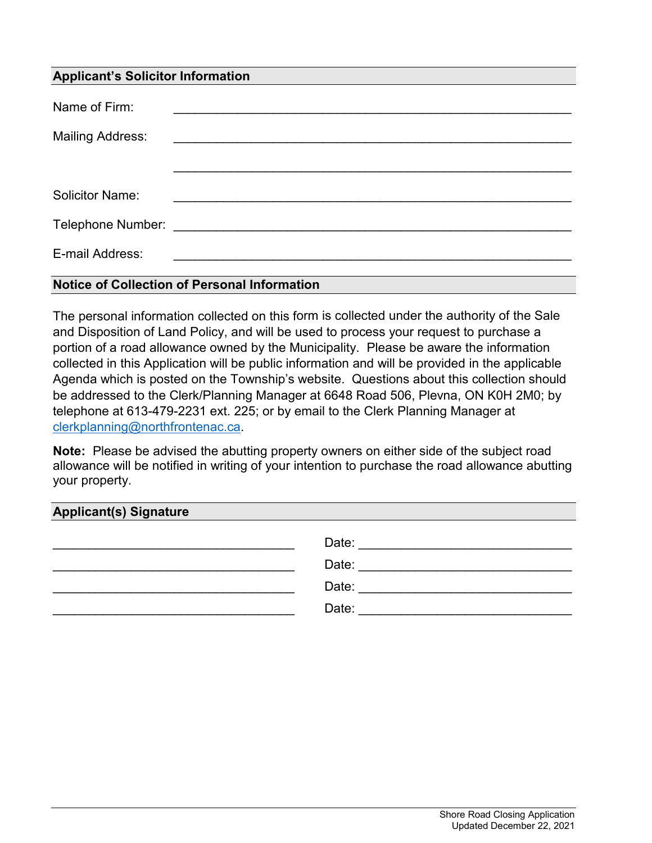### **Applicant's Solicitor Information**

| Name of Firm:           |                                                                                                                      |
|-------------------------|----------------------------------------------------------------------------------------------------------------------|
| <b>Mailing Address:</b> | <u> 1980 - Johann Johann Stormann (b. 1980)</u>                                                                      |
|                         |                                                                                                                      |
| <b>Solicitor Name:</b>  |                                                                                                                      |
|                         |                                                                                                                      |
| E-mail Address:         | <u> 1980 - John Stein, mars and de Britain and de Britain and de Britain and de Britain and de Britain and de Br</u> |
|                         |                                                                                                                      |

#### **Notice of Collection of Personal Information**

The personal information collected on this form is collected under the authority of the Sale and Disposition of Land Policy, and will be used to process your request to purchase a portion of a road allowance owned by the Municipality. Please be aware the information collected in this Application will be public information and will be provided in the applicable Agenda which is posted on the Township's website. Questions about this collection should be addressed to the Clerk/Planning Manager at 6648 Road 506, Plevna, ON K0H 2M0; by telephone at 613-479-2231 ext. 225; or by email to the Clerk Planning Manager at [clerkplanning@](mailto:clerkplanning@northfrontenac.ca)northfrontenac.ca.

 **Note:** Please be advised the abutting property owners on either side of the subject road allowance will be notified in writing of your intention to purchase the road allowance abutting your property.

#### **Applicant(s) Signature**

| Date: |
|-------|
| Date: |
| Date: |
| Date: |